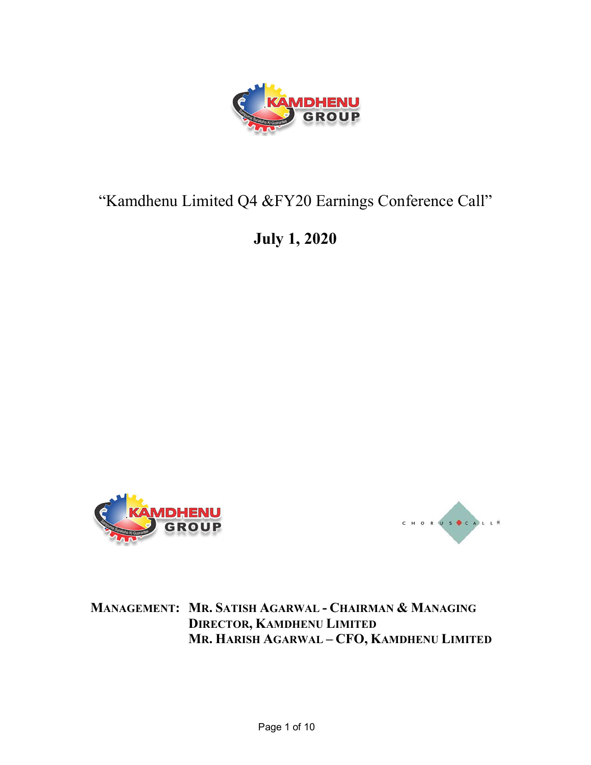

## "Kamdhenu Limited Q4 &FY20 Earnings Conference Call"

July 1, 2020





MANAGEMENT: MR. SATISH AGARWAL - CHAIRMAN & MANAGING DIRECTOR, KAMDHENU LIMITED MR. HARISH AGARWAL – CFO, KAMDHENU LIMITED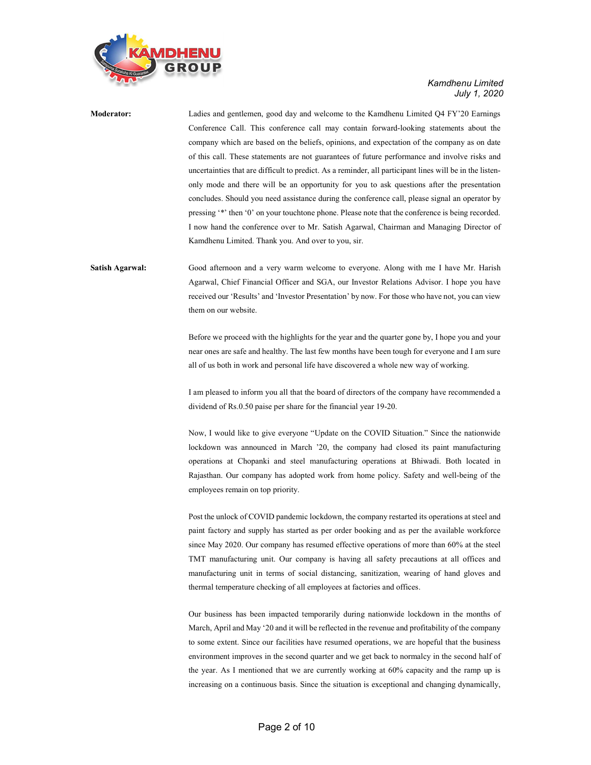

Moderator: Ladies and gentlemen, good day and welcome to the Kamdhenu Limited Q4 FY'20 Earnings Conference Call. This conference call may contain forward-looking statements about the company which are based on the beliefs, opinions, and expectation of the company as on date of this call. These statements are not guarantees of future performance and involve risks and uncertainties that are difficult to predict. As a reminder, all participant lines will be in the listenonly mode and there will be an opportunity for you to ask questions after the presentation concludes. Should you need assistance during the conference call, please signal an operator by pressing '\*' then '0' on your touchtone phone. Please note that the conference is being recorded. I now hand the conference over to Mr. Satish Agarwal, Chairman and Managing Director of Kamdhenu Limited. Thank you. And over to you, sir.

Satish Agarwal: Good afternoon and a very warm welcome to everyone. Along with me I have Mr. Harish Agarwal, Chief Financial Officer and SGA, our Investor Relations Advisor. I hope you have received our 'Results' and 'Investor Presentation' by now. For those who have not, you can view them on our website.

> Before we proceed with the highlights for the year and the quarter gone by, I hope you and your near ones are safe and healthy. The last few months have been tough for everyone and I am sure all of us both in work and personal life have discovered a whole new way of working.

> I am pleased to inform you all that the board of directors of the company have recommended a dividend of Rs.0.50 paise per share for the financial year 19-20.

> Now, I would like to give everyone "Update on the COVID Situation." Since the nationwide lockdown was announced in March '20, the company had closed its paint manufacturing operations at Chopanki and steel manufacturing operations at Bhiwadi. Both located in Rajasthan. Our company has adopted work from home policy. Safety and well-being of the employees remain on top priority.

> Post the unlock of COVID pandemic lockdown, the company restarted its operations at steel and paint factory and supply has started as per order booking and as per the available workforce since May 2020. Our company has resumed effective operations of more than 60% at the steel TMT manufacturing unit. Our company is having all safety precautions at all offices and manufacturing unit in terms of social distancing, sanitization, wearing of hand gloves and thermal temperature checking of all employees at factories and offices.

> Our business has been impacted temporarily during nationwide lockdown in the months of March, April and May '20 and it will be reflected in the revenue and profitability of the company to some extent. Since our facilities have resumed operations, we are hopeful that the business environment improves in the second quarter and we get back to normalcy in the second half of the year. As I mentioned that we are currently working at 60% capacity and the ramp up is increasing on a continuous basis. Since the situation is exceptional and changing dynamically,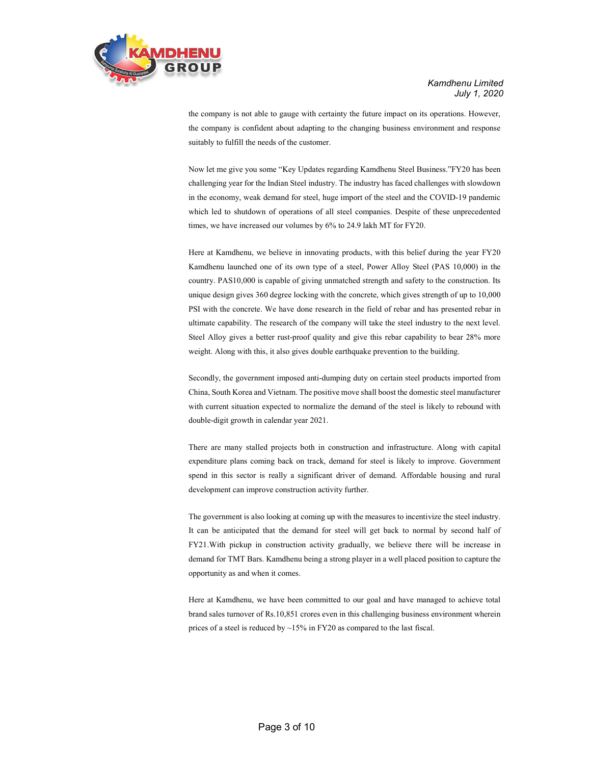

> the company is not able to gauge with certainty the future impact on its operations. However, the company is confident about adapting to the changing business environment and response suitably to fulfill the needs of the customer.

> Now let me give you some "Key Updates regarding Kamdhenu Steel Business."FY20 has been challenging year for the Indian Steel industry. The industry has faced challenges with slowdown in the economy, weak demand for steel, huge import of the steel and the COVID-19 pandemic which led to shutdown of operations of all steel companies. Despite of these unprecedented times, we have increased our volumes by 6% to 24.9 lakh MT for FY20.

> Here at Kamdhenu, we believe in innovating products, with this belief during the year FY20 Kamdhenu launched one of its own type of a steel, Power Alloy Steel (PAS 10,000) in the country. PAS10,000 is capable of giving unmatched strength and safety to the construction. Its unique design gives 360 degree locking with the concrete, which gives strength of up to 10,000 PSI with the concrete. We have done research in the field of rebar and has presented rebar in ultimate capability. The research of the company will take the steel industry to the next level. Steel Alloy gives a better rust-proof quality and give this rebar capability to bear 28% more weight. Along with this, it also gives double earthquake prevention to the building.

> Secondly, the government imposed anti-dumping duty on certain steel products imported from China, South Korea and Vietnam. The positive move shall boost the domestic steel manufacturer with current situation expected to normalize the demand of the steel is likely to rebound with double-digit growth in calendar year 2021.

> There are many stalled projects both in construction and infrastructure. Along with capital expenditure plans coming back on track, demand for steel is likely to improve. Government spend in this sector is really a significant driver of demand. Affordable housing and rural development can improve construction activity further.

> The government is also looking at coming up with the measures to incentivize the steel industry. It can be anticipated that the demand for steel will get back to normal by second half of FY21.With pickup in construction activity gradually, we believe there will be increase in demand for TMT Bars. Kamdhenu being a strong player in a well placed position to capture the opportunity as and when it comes.

> Here at Kamdhenu, we have been committed to our goal and have managed to achieve total brand sales turnover of Rs.10,851 crores even in this challenging business environment wherein prices of a steel is reduced by  $\sim$ 15% in FY20 as compared to the last fiscal.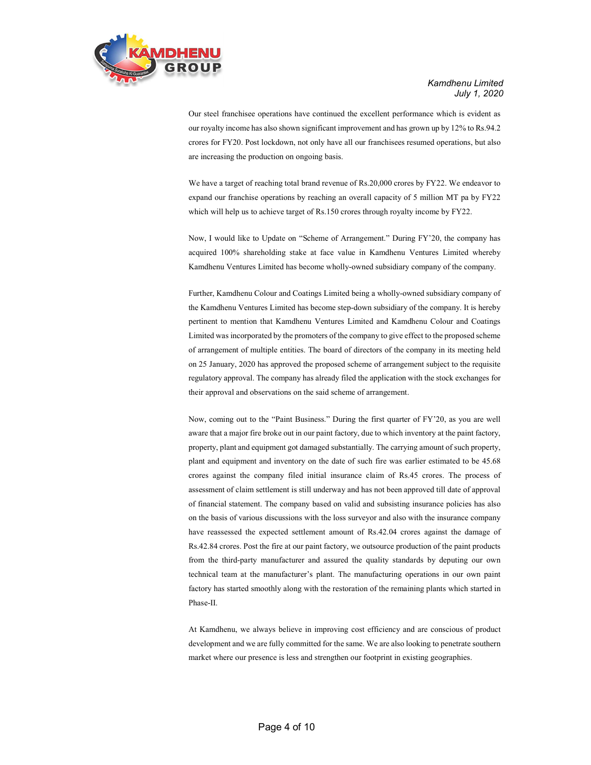

> Our steel franchisee operations have continued the excellent performance which is evident as our royalty income has also shown significant improvement and has grown up by 12% to Rs.94.2 crores for FY20. Post lockdown, not only have all our franchisees resumed operations, but also are increasing the production on ongoing basis.

> We have a target of reaching total brand revenue of Rs.20,000 crores by FY22. We endeavor to expand our franchise operations by reaching an overall capacity of 5 million MT pa by FY22 which will help us to achieve target of Rs.150 crores through royalty income by FY22.

> Now, I would like to Update on "Scheme of Arrangement." During FY'20, the company has acquired 100% shareholding stake at face value in Kamdhenu Ventures Limited whereby Kamdhenu Ventures Limited has become wholly-owned subsidiary company of the company.

> Further, Kamdhenu Colour and Coatings Limited being a wholly-owned subsidiary company of the Kamdhenu Ventures Limited has become step-down subsidiary of the company. It is hereby pertinent to mention that Kamdhenu Ventures Limited and Kamdhenu Colour and Coatings Limited was incorporated by the promoters of the company to give effect to the proposed scheme of arrangement of multiple entities. The board of directors of the company in its meeting held on 25 January, 2020 has approved the proposed scheme of arrangement subject to the requisite regulatory approval. The company has already filed the application with the stock exchanges for their approval and observations on the said scheme of arrangement.

> Now, coming out to the "Paint Business." During the first quarter of FY'20, as you are well aware that a major fire broke out in our paint factory, due to which inventory at the paint factory, property, plant and equipment got damaged substantially. The carrying amount of such property, plant and equipment and inventory on the date of such fire was earlier estimated to be 45.68 crores against the company filed initial insurance claim of Rs.45 crores. The process of assessment of claim settlement is still underway and has not been approved till date of approval of financial statement. The company based on valid and subsisting insurance policies has also on the basis of various discussions with the loss surveyor and also with the insurance company have reassessed the expected settlement amount of Rs.42.04 crores against the damage of Rs.42.84 crores. Post the fire at our paint factory, we outsource production of the paint products from the third-party manufacturer and assured the quality standards by deputing our own technical team at the manufacturer's plant. The manufacturing operations in our own paint factory has started smoothly along with the restoration of the remaining plants which started in Phase-II.

> At Kamdhenu, we always believe in improving cost efficiency and are conscious of product development and we are fully committed for the same. We are also looking to penetrate southern market where our presence is less and strengthen our footprint in existing geographies.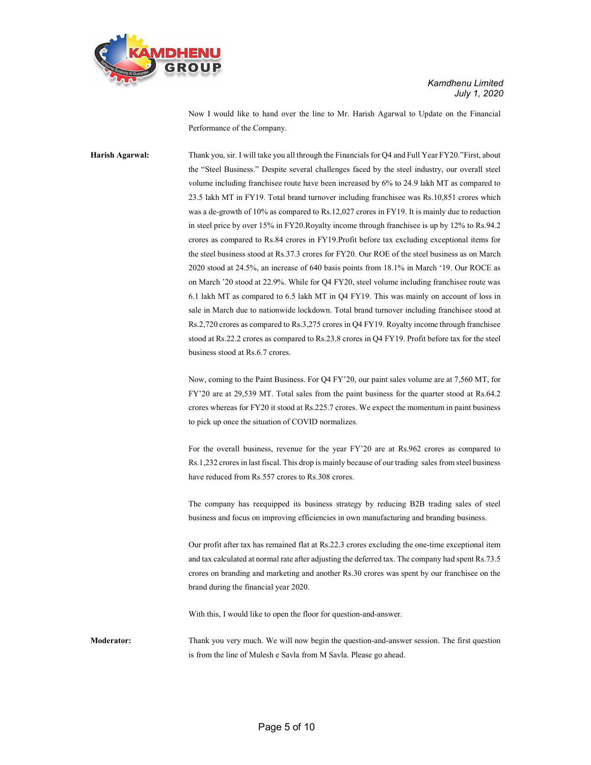

> Now I would like to hand over the line to Mr. Harish Agarwal to Update on the Financial Performance of the Company.

Harish Agarwal: Thank you, sir. I will take you all through the Financials for Q4 and Full Year FY20."First, about the "Steel Business." Despite several challenges faced by the steel industry, our overall steel volume including franchisee route have been increased by 6% to 24.9 lakh MT as compared to 23.5 lakh MT in FY19. Total brand turnover including franchisee was Rs.10,851 crores which was a de-growth of 10% as compared to Rs.12,027 crores in FY19. It is mainly due to reduction in steel price by over 15% in FY20.Royalty income through franchisee is up by 12% to Rs.94.2 crores as compared to Rs.84 crores in FY19.Profit before tax excluding exceptional items for the steel business stood at Rs.37.3 crores for FY20. Our ROE of the steel business as on March 2020 stood at 24.5%, an increase of 640 basis points from 18.1% in March '19. Our ROCE as on March '20 stood at 22.9%. While for Q4 FY20, steel volume including franchisee route was 6.1 lakh MT as compared to 6.5 lakh MT in Q4 FY19. This was mainly on account of loss in sale in March due to nationwide lockdown. Total brand turnover including franchisee stood at Rs.2,720 crores as compared to Rs.3,275 crores in Q4 FY19. Royalty income through franchisee stood at Rs.22.2 crores as compared to Rs.23.8 crores in Q4 FY19. Profit before tax for the steel business stood at Rs.6.7 crores.

> Now, coming to the Paint Business. For Q4 FY'20, our paint sales volume are at 7,560 MT, for FY'20 are at 29,539 MT. Total sales from the paint business for the quarter stood at Rs.64.2 crores whereas for FY20 it stood at Rs.225.7 crores. We expect the momentum in paint business to pick up once the situation of COVID normalizes.

> For the overall business, revenue for the year FY'20 are at Rs.962 crores as compared to Rs.1,232 crores in last fiscal. This drop is mainly because of our trading sales from steel business have reduced from Rs.557 crores to Rs.308 crores.

> The company has reequipped its business strategy by reducing B2B trading sales of steel business and focus on improving efficiencies in own manufacturing and branding business.

> Our profit after tax has remained flat at Rs.22.3 crores excluding the one-time exceptional item and tax calculated at normal rate after adjusting the deferred tax. The company had spent Rs.73.5 crores on branding and marketing and another Rs.30 crores was spent by our franchisee on the brand during the financial year 2020.

With this, I would like to open the floor for question-and-answer.

Moderator: Thank you very much. We will now begin the question-and-answer session. The first question is from the line of Mulesh e Savla from M Savla. Please go ahead.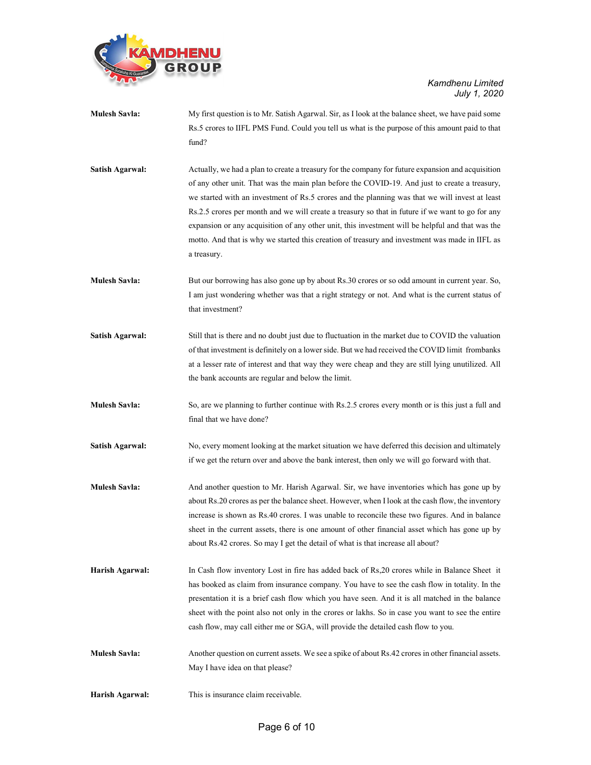

| <b>Mulesh Savla:</b>   | My first question is to Mr. Satish Agarwal. Sir, as I look at the balance sheet, we have paid some<br>Rs.5 crores to IIFL PMS Fund. Could you tell us what is the purpose of this amount paid to that<br>fund?                                                                                                                                                                                                                                                                                                                                                                                                                |  |
|------------------------|-------------------------------------------------------------------------------------------------------------------------------------------------------------------------------------------------------------------------------------------------------------------------------------------------------------------------------------------------------------------------------------------------------------------------------------------------------------------------------------------------------------------------------------------------------------------------------------------------------------------------------|--|
| <b>Satish Agarwal:</b> | Actually, we had a plan to create a treasury for the company for future expansion and acquisition<br>of any other unit. That was the main plan before the COVID-19. And just to create a treasury,<br>we started with an investment of Rs.5 crores and the planning was that we will invest at least<br>Rs.2.5 crores per month and we will create a treasury so that in future if we want to go for any<br>expansion or any acquisition of any other unit, this investment will be helpful and that was the<br>motto. And that is why we started this creation of treasury and investment was made in IIFL as<br>a treasury. |  |
| <b>Mulesh Savla:</b>   | But our borrowing has also gone up by about Rs.30 crores or so odd amount in current year. So,<br>I am just wondering whether was that a right strategy or not. And what is the current status of<br>that investment?                                                                                                                                                                                                                                                                                                                                                                                                         |  |
| Satish Agarwal:        | Still that is there and no doubt just due to fluctuation in the market due to COVID the valuation<br>of that investment is definitely on a lower side. But we had received the COVID limit frombanks<br>at a lesser rate of interest and that way they were cheap and they are still lying unutilized. All<br>the bank accounts are regular and below the limit.                                                                                                                                                                                                                                                              |  |
| <b>Mulesh Savla:</b>   | So, are we planning to further continue with Rs.2.5 crores every month or is this just a full and<br>final that we have done?                                                                                                                                                                                                                                                                                                                                                                                                                                                                                                 |  |
| <b>Satish Agarwal:</b> | No, every moment looking at the market situation we have deferred this decision and ultimately<br>if we get the return over and above the bank interest, then only we will go forward with that.                                                                                                                                                                                                                                                                                                                                                                                                                              |  |
| <b>Mulesh Savla:</b>   | And another question to Mr. Harish Agarwal. Sir, we have inventories which has gone up by<br>about Rs.20 crores as per the balance sheet. However, when I look at the cash flow, the inventory<br>increase is shown as Rs.40 crores. I was unable to reconcile these two figures. And in balance<br>sheet in the current assets, there is one amount of other financial asset which has gone up by<br>about Rs.42 crores. So may I get the detail of what is that increase all about?                                                                                                                                         |  |
| Harish Agarwal:        | In Cash flow inventory Lost in fire has added back of Rs, 20 crores while in Balance Sheet it<br>has booked as claim from insurance company. You have to see the cash flow in totality. In the<br>presentation it is a brief cash flow which you have seen. And it is all matched in the balance<br>sheet with the point also not only in the crores or lakhs. So in case you want to see the entire<br>cash flow, may call either me or SGA, will provide the detailed cash flow to you.                                                                                                                                     |  |
| <b>Mulesh Savla:</b>   | Another question on current assets. We see a spike of about Rs.42 crores in other financial assets.<br>May I have idea on that please?                                                                                                                                                                                                                                                                                                                                                                                                                                                                                        |  |
| Harish Agarwal:        | This is insurance claim receivable.                                                                                                                                                                                                                                                                                                                                                                                                                                                                                                                                                                                           |  |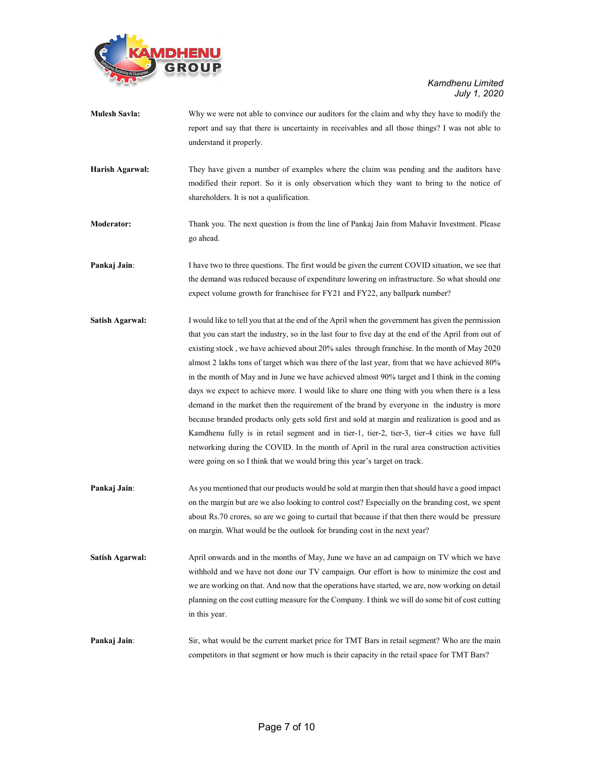

| <b>Mulesh Savla:</b> | Why we were not able to convince our auditors for the claim and why they have to modify the<br>report and say that there is uncertainty in receivables and all those things? I was not able to<br>understand it properly.                                                                                                                                                                                                                                                                                                                                                                                                                                                                                                                                                                                                                                                                                                                                                                                                                                                                    |
|----------------------|----------------------------------------------------------------------------------------------------------------------------------------------------------------------------------------------------------------------------------------------------------------------------------------------------------------------------------------------------------------------------------------------------------------------------------------------------------------------------------------------------------------------------------------------------------------------------------------------------------------------------------------------------------------------------------------------------------------------------------------------------------------------------------------------------------------------------------------------------------------------------------------------------------------------------------------------------------------------------------------------------------------------------------------------------------------------------------------------|
| Harish Agarwal:      | They have given a number of examples where the claim was pending and the auditors have<br>modified their report. So it is only observation which they want to bring to the notice of<br>shareholders. It is not a qualification.                                                                                                                                                                                                                                                                                                                                                                                                                                                                                                                                                                                                                                                                                                                                                                                                                                                             |
| <b>Moderator:</b>    | Thank you. The next question is from the line of Pankaj Jain from Mahavir Investment. Please<br>go ahead.                                                                                                                                                                                                                                                                                                                                                                                                                                                                                                                                                                                                                                                                                                                                                                                                                                                                                                                                                                                    |
| Pankaj Jain:         | I have two to three questions. The first would be given the current COVID situation, we see that<br>the demand was reduced because of expenditure lowering on infrastructure. So what should one<br>expect volume growth for franchise for FY21 and FY22, any ballpark number?                                                                                                                                                                                                                                                                                                                                                                                                                                                                                                                                                                                                                                                                                                                                                                                                               |
| Satish Agarwal:      | I would like to tell you that at the end of the April when the government has given the permission<br>that you can start the industry, so in the last four to five day at the end of the April from out of<br>existing stock, we have achieved about 20% sales through franchise. In the month of May 2020<br>almost 2 lakhs tons of target which was there of the last year, from that we have achieved 80%<br>in the month of May and in June we have achieved almost 90% target and I think in the coming<br>days we expect to achieve more. I would like to share one thing with you when there is a less<br>demand in the market then the requirement of the brand by everyone in the industry is more<br>because branded products only gets sold first and sold at margin and realization is good and as<br>Kamdhenu fully is in retail segment and in tier-1, tier-2, tier-3, tier-4 cities we have full<br>networking during the COVID. In the month of April in the rural area construction activities<br>were going on so I think that we would bring this year's target on track. |
| Pankaj Jain:         | As you mentioned that our products would be sold at margin then that should have a good impact<br>on the margin but are we also looking to control cost? Especially on the branding cost, we spent<br>about Rs.70 crores, so are we going to curtail that because if that then there would be pressure<br>on margin. What would be the outlook for branding cost in the next year?                                                                                                                                                                                                                                                                                                                                                                                                                                                                                                                                                                                                                                                                                                           |
| Satish Agarwal:      | April onwards and in the months of May, June we have an ad campaign on TV which we have<br>withhold and we have not done our TV campaign. Our effort is how to minimize the cost and<br>we are working on that. And now that the operations have started, we are, now working on detail<br>planning on the cost cutting measure for the Company. I think we will do some bit of cost cutting<br>in this year.                                                                                                                                                                                                                                                                                                                                                                                                                                                                                                                                                                                                                                                                                |
| Pankaj Jain:         | Sir, what would be the current market price for TMT Bars in retail segment? Who are the main<br>competitors in that segment or how much is their capacity in the retail space for TMT Bars?                                                                                                                                                                                                                                                                                                                                                                                                                                                                                                                                                                                                                                                                                                                                                                                                                                                                                                  |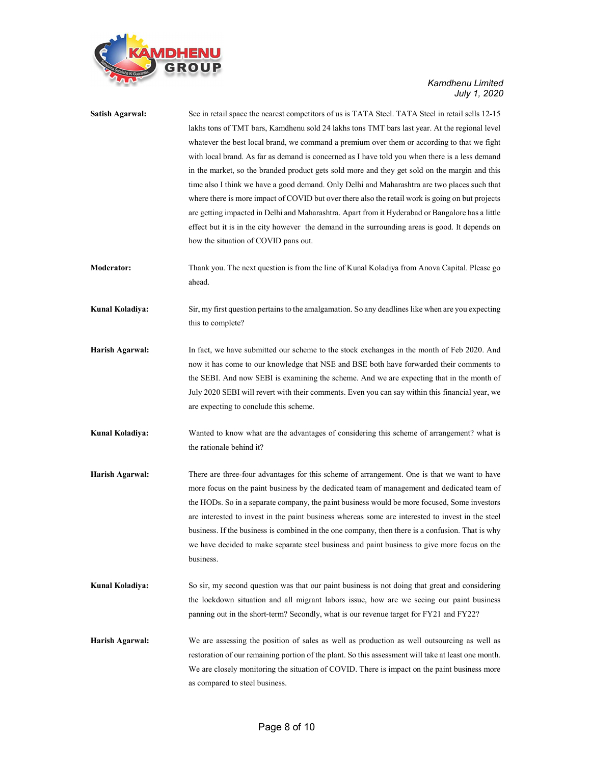

| <b>Satish Agarwal:</b> | See in retail space the nearest competitors of us is TATA Steel. TATA Steel in retail sells 12-15<br>lakhs tons of TMT bars, Kamdhenu sold 24 lakhs tons TMT bars last year. At the regional level |  |
|------------------------|----------------------------------------------------------------------------------------------------------------------------------------------------------------------------------------------------|--|
|                        | whatever the best local brand, we command a premium over them or according to that we fight                                                                                                        |  |
|                        | with local brand. As far as demand is concerned as I have told you when there is a less demand                                                                                                     |  |
|                        | in the market, so the branded product gets sold more and they get sold on the margin and this                                                                                                      |  |
|                        | time also I think we have a good demand. Only Delhi and Maharashtra are two places such that                                                                                                       |  |
|                        | where there is more impact of COVID but over there also the retail work is going on but projects                                                                                                   |  |
|                        | are getting impacted in Delhi and Maharashtra. Apart from it Hyderabad or Bangalore has a little                                                                                                   |  |
|                        | effect but it is in the city however the demand in the surrounding areas is good. It depends on                                                                                                    |  |
|                        | how the situation of COVID pans out.                                                                                                                                                               |  |
| Moderator:             | Thank you. The next question is from the line of Kunal Koladiya from Anova Capital. Please go<br>ahead.                                                                                            |  |
| Kunal Koladiya:        | Sir, my first question pertains to the amalgamation. So any deadlines like when are you expecting<br>this to complete?                                                                             |  |
| Harish Agarwal:        | In fact, we have submitted our scheme to the stock exchanges in the month of Feb 2020. And                                                                                                         |  |
|                        | now it has come to our knowledge that NSE and BSE both have forwarded their comments to                                                                                                            |  |
|                        | the SEBI. And now SEBI is examining the scheme. And we are expecting that in the month of                                                                                                          |  |
|                        | July 2020 SEBI will revert with their comments. Even you can say within this financial year, we                                                                                                    |  |
|                        | are expecting to conclude this scheme.                                                                                                                                                             |  |
| Kunal Koladiya:        | Wanted to know what are the advantages of considering this scheme of arrangement? what is                                                                                                          |  |
|                        | the rationale behind it?                                                                                                                                                                           |  |
| Harish Agarwal:        | There are three-four advantages for this scheme of arrangement. One is that we want to have                                                                                                        |  |
|                        | more focus on the paint business by the dedicated team of management and dedicated team of                                                                                                         |  |
|                        | the HODs. So in a separate company, the paint business would be more focused, Some investors                                                                                                       |  |
|                        | are interested to invest in the paint business whereas some are interested to invest in the steel                                                                                                  |  |
|                        | business. If the business is combined in the one company, then there is a confusion. That is why                                                                                                   |  |
|                        | we have decided to make separate steel business and paint business to give more focus on the<br>business.                                                                                          |  |
| Kunal Koladiya:        | So sir, my second question was that our paint business is not doing that great and considering                                                                                                     |  |
|                        | the lockdown situation and all migrant labors issue, how are we seeing our paint business                                                                                                          |  |
|                        | panning out in the short-term? Secondly, what is our revenue target for FY21 and FY22?                                                                                                             |  |
| Harish Agarwal:        | We are assessing the position of sales as well as production as well outsourcing as well as                                                                                                        |  |
|                        | restoration of our remaining portion of the plant. So this assessment will take at least one month.                                                                                                |  |
|                        | We are closely monitoring the situation of COVID. There is impact on the paint business more                                                                                                       |  |
|                        | as compared to steel business.                                                                                                                                                                     |  |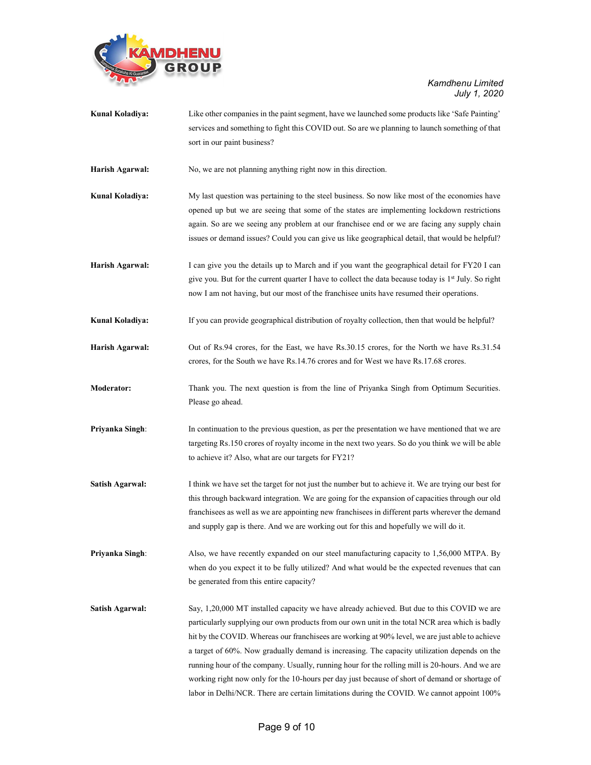

| Kunal Koladiya:        | Like other companies in the paint segment, have we launched some products like 'Safe Painting'<br>services and something to fight this COVID out. So are we planning to launch something of that |  |
|------------------------|--------------------------------------------------------------------------------------------------------------------------------------------------------------------------------------------------|--|
|                        | sort in our paint business?                                                                                                                                                                      |  |
| Harish Agarwal:        | No, we are not planning anything right now in this direction.                                                                                                                                    |  |
| Kunal Koladiya:        | My last question was pertaining to the steel business. So now like most of the economies have                                                                                                    |  |
|                        | opened up but we are seeing that some of the states are implementing lockdown restrictions                                                                                                       |  |
|                        | again. So are we seeing any problem at our franchisee end or we are facing any supply chain                                                                                                      |  |
|                        | issues or demand issues? Could you can give us like geographical detail, that would be helpful?                                                                                                  |  |
| Harish Agarwal:        | I can give you the details up to March and if you want the geographical detail for FY20 I can                                                                                                    |  |
|                        | give you. But for the current quarter I have to collect the data because today is 1 <sup>st</sup> July. So right                                                                                 |  |
|                        | now I am not having, but our most of the franchisee units have resumed their operations.                                                                                                         |  |
| Kunal Koladiya:        | If you can provide geographical distribution of royalty collection, then that would be helpful?                                                                                                  |  |
| Harish Agarwal:        | Out of Rs.94 crores, for the East, we have Rs.30.15 crores, for the North we have Rs.31.54                                                                                                       |  |
|                        | crores, for the South we have Rs.14.76 crores and for West we have Rs.17.68 crores.                                                                                                              |  |
| <b>Moderator:</b>      | Thank you. The next question is from the line of Priyanka Singh from Optimum Securities.                                                                                                         |  |
|                        | Please go ahead.                                                                                                                                                                                 |  |
| Priyanka Singh:        | In continuation to the previous question, as per the presentation we have mentioned that we are                                                                                                  |  |
|                        | targeting Rs.150 crores of royalty income in the next two years. So do you think we will be able                                                                                                 |  |
|                        | to achieve it? Also, what are our targets for FY21?                                                                                                                                              |  |
| <b>Satish Agarwal:</b> | I think we have set the target for not just the number but to achieve it. We are trying our best for                                                                                             |  |
|                        | this through backward integration. We are going for the expansion of capacities through our old                                                                                                  |  |
|                        | franchisees as well as we are appointing new franchisees in different parts wherever the demand                                                                                                  |  |
|                        | and supply gap is there. And we are working out for this and hopefully we will do it.                                                                                                            |  |
| Priyanka Singh:        | Also, we have recently expanded on our steel manufacturing capacity to 1,56,000 MTPA. By                                                                                                         |  |
|                        | when do you expect it to be fully utilized? And what would be the expected revenues that can                                                                                                     |  |
|                        | be generated from this entire capacity?                                                                                                                                                          |  |
| <b>Satish Agarwal:</b> | Say, 1,20,000 MT installed capacity we have already achieved. But due to this COVID we are                                                                                                       |  |
|                        | particularly supplying our own products from our own unit in the total NCR area which is badly                                                                                                   |  |
|                        | hit by the COVID. Whereas our franchisees are working at 90% level, we are just able to achieve                                                                                                  |  |
|                        | a target of 60%. Now gradually demand is increasing. The capacity utilization depends on the                                                                                                     |  |
|                        | running hour of the company. Usually, running hour for the rolling mill is 20-hours. And we are                                                                                                  |  |
|                        | working right now only for the 10-hours per day just because of short of demand or shortage of                                                                                                   |  |
|                        | labor in Delhi/NCR. There are certain limitations during the COVID. We cannot appoint 100%                                                                                                       |  |